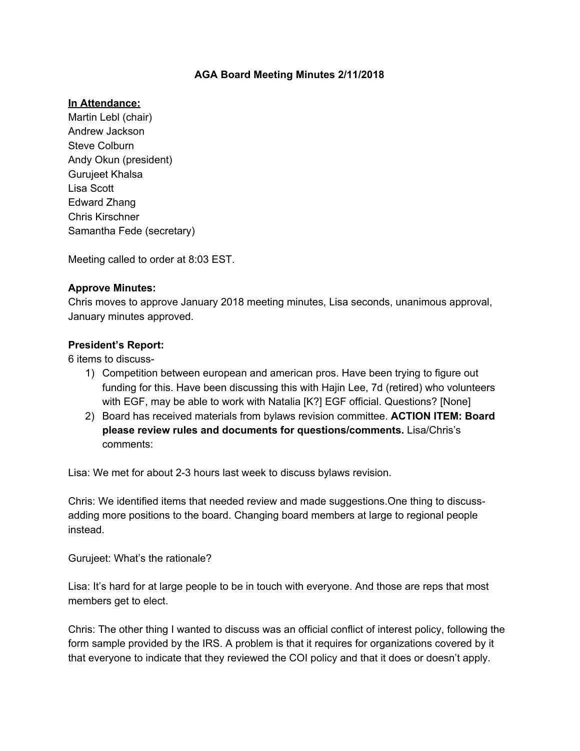### **AGA Board Meeting Minutes 2/11/2018**

#### **In Attendance:**

Martin Lebl (chair) Andrew Jackson Steve Colburn Andy Okun (president) Gurujeet Khalsa Lisa Scott Edward Zhang Chris Kirschner Samantha Fede (secretary)

Meeting called to order at 8:03 EST.

#### **Approve Minutes:**

Chris moves to approve January 2018 meeting minutes, Lisa seconds, unanimous approval, January minutes approved.

#### **President's Report:**

6 items to discuss-

- 1) Competition between european and american pros. Have been trying to figure out funding for this. Have been discussing this with Hajin Lee, 7d (retired) who volunteers with EGF, may be able to work with Natalia [K?] EGF official. Questions? [None]
- 2) Board has received materials from bylaws revision committee. **ACTION ITEM: Board please review rules and documents for questions/comments.** Lisa/Chris's comments:

Lisa: We met for about 2-3 hours last week to discuss bylaws revision.

Chris: We identified items that needed review and made suggestions.One thing to discussadding more positions to the board. Changing board members at large to regional people instead.

Gurujeet: What's the rationale?

Lisa: It's hard for at large people to be in touch with everyone. And those are reps that most members get to elect.

Chris: The other thing I wanted to discuss was an official conflict of interest policy, following the form sample provided by the IRS. A problem is that it requires for organizations covered by it that everyone to indicate that they reviewed the COI policy and that it does or doesn't apply.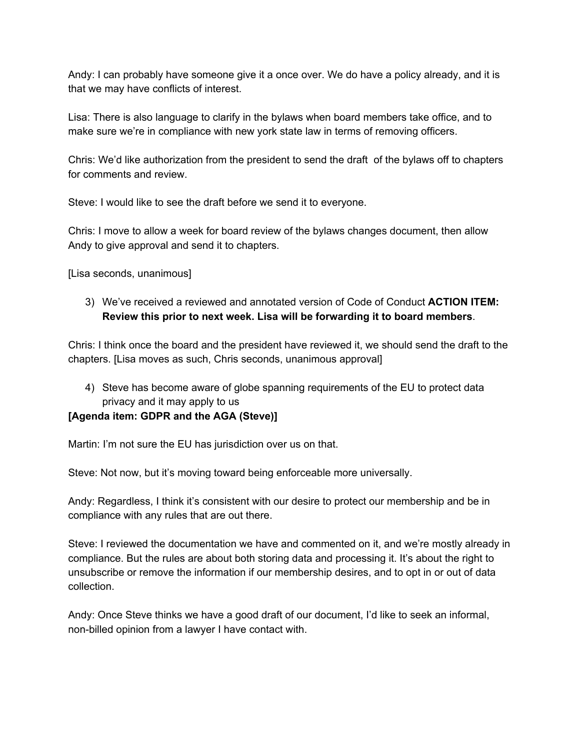Andy: I can probably have someone give it a once over. We do have a policy already, and it is that we may have conflicts of interest.

Lisa: There is also language to clarify in the bylaws when board members take office, and to make sure we're in compliance with new york state law in terms of removing officers.

Chris: We'd like authorization from the president to send the draft of the bylaws off to chapters for comments and review.

Steve: I would like to see the draft before we send it to everyone.

Chris: I move to allow a week for board review of the bylaws changes document, then allow Andy to give approval and send it to chapters.

[Lisa seconds, unanimous]

3) We've received a reviewed and annotated version of Code of Conduct **ACTION ITEM: Review this prior to next week. Lisa will be forwarding it to board members**.

Chris: I think once the board and the president have reviewed it, we should send the draft to the chapters. [Lisa moves as such, Chris seconds, unanimous approval]

4) Steve has become aware of globe spanning requirements of the EU to protect data privacy and it may apply to us

## **[Agenda item: GDPR and the AGA (Steve)]**

Martin: I'm not sure the EU has jurisdiction over us on that.

Steve: Not now, but it's moving toward being enforceable more universally.

Andy: Regardless, I think it's consistent with our desire to protect our membership and be in compliance with any rules that are out there.

Steve: I reviewed the documentation we have and commented on it, and we're mostly already in compliance. But the rules are about both storing data and processing it. It's about the right to unsubscribe or remove the information if our membership desires, and to opt in or out of data collection.

Andy: Once Steve thinks we have a good draft of our document, I'd like to seek an informal, non-billed opinion from a lawyer I have contact with.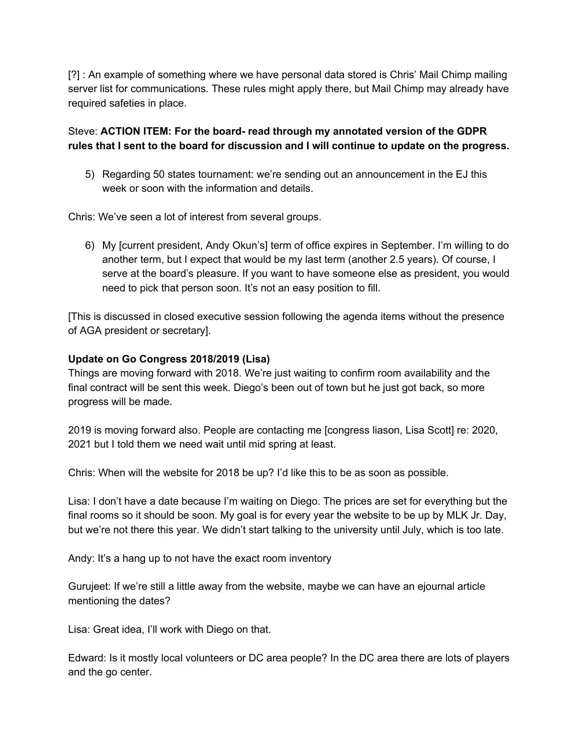[?] : An example of something where we have personal data stored is Chris' Mail Chimp mailing server list for communications. These rules might apply there, but Mail Chimp may already have required safeties in place.

# Steve: **ACTION ITEM: For the board- read through my annotated version of the GDPR rules that I sent to the board for discussion and I will continue to update on the progress.**

5) Regarding 50 states tournament: we're sending out an announcement in the EJ this week or soon with the information and details.

Chris: We've seen a lot of interest from several groups.

6) My [current president, Andy Okun's] term of office expires in September. I'm willing to do another term, but I expect that would be my last term (another 2.5 years). Of course, I serve at the board's pleasure. If you want to have someone else as president, you would need to pick that person soon. It's not an easy position to fill.

[This is discussed in closed executive session following the agenda items without the presence of AGA president or secretary].

## **Update on Go Congress 2018/2019 (Lisa)**

Things are moving forward with 2018. We're just waiting to confirm room availability and the final contract will be sent this week. Diego's been out of town but he just got back, so more progress will be made.

2019 is moving forward also. People are contacting me [congress liason, Lisa Scott] re: 2020, 2021 but I told them we need wait until mid spring at least.

Chris: When will the website for 2018 be up? I'd like this to be as soon as possible.

Lisa: I don't have a date because I'm waiting on Diego. The prices are set for everything but the final rooms so it should be soon. My goal is for every year the website to be up by MLK Jr. Day, but we're not there this year. We didn't start talking to the university until July, which is too late.

Andy: It's a hang up to not have the exact room inventory

Gurujeet: If we're still a little away from the website, maybe we can have an ejournal article mentioning the dates?

Lisa: Great idea, I'll work with Diego on that.

Edward: Is it mostly local volunteers or DC area people? In the DC area there are lots of players and the go center.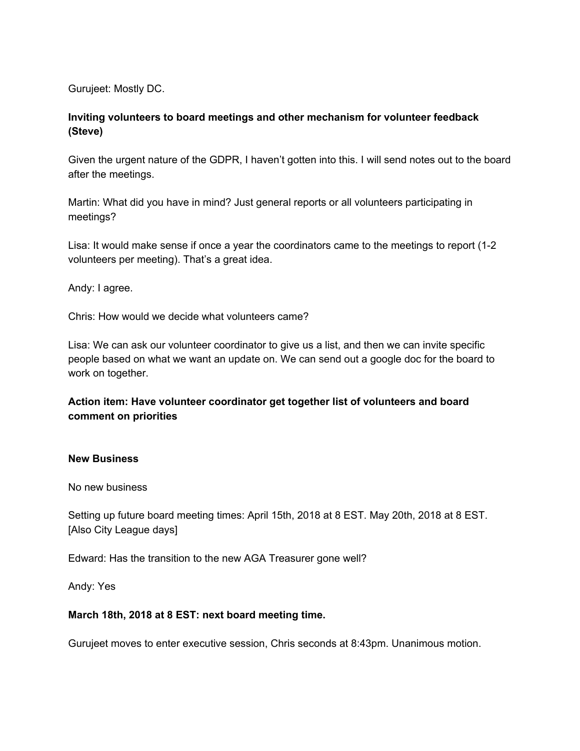Gurujeet: Mostly DC.

# **Inviting volunteers to board meetings and other mechanism for volunteer feedback (Steve)**

Given the urgent nature of the GDPR, I haven't gotten into this. I will send notes out to the board after the meetings.

Martin: What did you have in mind? Just general reports or all volunteers participating in meetings?

Lisa: It would make sense if once a year the coordinators came to the meetings to report (1-2 volunteers per meeting). That's a great idea.

Andy: I agree.

Chris: How would we decide what volunteers came?

Lisa: We can ask our volunteer coordinator to give us a list, and then we can invite specific people based on what we want an update on. We can send out a google doc for the board to work on together.

## **Action item: Have volunteer coordinator get together list of volunteers and board comment on priorities**

### **New Business**

No new business

Setting up future board meeting times: April 15th, 2018 at 8 EST. May 20th, 2018 at 8 EST. [Also City League days]

Edward: Has the transition to the new AGA Treasurer gone well?

Andy: Yes

### **March 18th, 2018 at 8 EST: next board meeting time.**

Gurujeet moves to enter executive session, Chris seconds at 8:43pm. Unanimous motion.